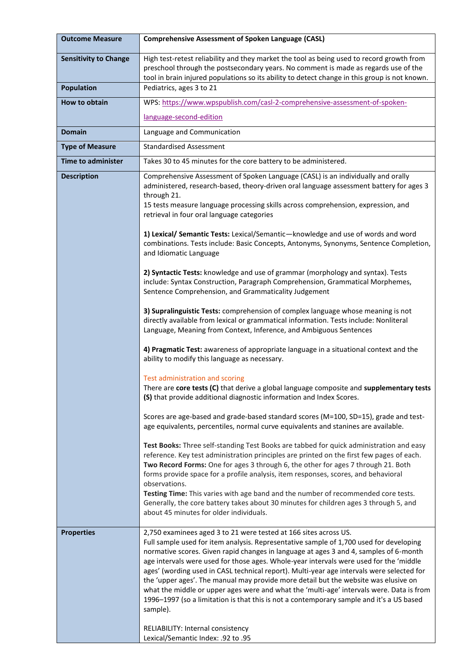| <b>Outcome Measure</b>       | <b>Comprehensive Assessment of Spoken Language (CASL)</b>                                                                                                                                                                                                                                                                                                                                                                                                                                                                                                                                                                                                                                                                                                                                                        |
|------------------------------|------------------------------------------------------------------------------------------------------------------------------------------------------------------------------------------------------------------------------------------------------------------------------------------------------------------------------------------------------------------------------------------------------------------------------------------------------------------------------------------------------------------------------------------------------------------------------------------------------------------------------------------------------------------------------------------------------------------------------------------------------------------------------------------------------------------|
| <b>Sensitivity to Change</b> | High test-retest reliability and they market the tool as being used to record growth from<br>preschool through the postsecondary years. No comment is made as regards use of the<br>tool in brain injured populations so its ability to detect change in this group is not known.                                                                                                                                                                                                                                                                                                                                                                                                                                                                                                                                |
| <b>Population</b>            | Pediatrics, ages 3 to 21                                                                                                                                                                                                                                                                                                                                                                                                                                                                                                                                                                                                                                                                                                                                                                                         |
| How to obtain                | WPS: https://www.wpspublish.com/casl-2-comprehensive-assessment-of-spoken-                                                                                                                                                                                                                                                                                                                                                                                                                                                                                                                                                                                                                                                                                                                                       |
|                              | language-second-edition                                                                                                                                                                                                                                                                                                                                                                                                                                                                                                                                                                                                                                                                                                                                                                                          |
| <b>Domain</b>                | Language and Communication                                                                                                                                                                                                                                                                                                                                                                                                                                                                                                                                                                                                                                                                                                                                                                                       |
| <b>Type of Measure</b>       | <b>Standardised Assessment</b>                                                                                                                                                                                                                                                                                                                                                                                                                                                                                                                                                                                                                                                                                                                                                                                   |
| <b>Time to administer</b>    | Takes 30 to 45 minutes for the core battery to be administered.                                                                                                                                                                                                                                                                                                                                                                                                                                                                                                                                                                                                                                                                                                                                                  |
| <b>Description</b>           | Comprehensive Assessment of Spoken Language (CASL) is an individually and orally<br>administered, research-based, theory-driven oral language assessment battery for ages 3<br>through 21.<br>15 tests measure language processing skills across comprehension, expression, and<br>retrieval in four oral language categories                                                                                                                                                                                                                                                                                                                                                                                                                                                                                    |
|                              | 1) Lexical/ Semantic Tests: Lexical/Semantic-knowledge and use of words and word<br>combinations. Tests include: Basic Concepts, Antonyms, Synonyms, Sentence Completion,<br>and Idiomatic Language                                                                                                                                                                                                                                                                                                                                                                                                                                                                                                                                                                                                              |
|                              | 2) Syntactic Tests: knowledge and use of grammar (morphology and syntax). Tests<br>include: Syntax Construction, Paragraph Comprehension, Grammatical Morphemes,<br>Sentence Comprehension, and Grammaticality Judgement                                                                                                                                                                                                                                                                                                                                                                                                                                                                                                                                                                                         |
|                              | 3) Supralinguistic Tests: comprehension of complex language whose meaning is not<br>directly available from lexical or grammatical information. Tests include: Nonliteral<br>Language, Meaning from Context, Inference, and Ambiguous Sentences                                                                                                                                                                                                                                                                                                                                                                                                                                                                                                                                                                  |
|                              | 4) Pragmatic Test: awareness of appropriate language in a situational context and the<br>ability to modify this language as necessary.                                                                                                                                                                                                                                                                                                                                                                                                                                                                                                                                                                                                                                                                           |
|                              | Test administration and scoring<br>There are core tests (C) that derive a global language composite and supplementary tests<br>(S) that provide additional diagnostic information and Index Scores.                                                                                                                                                                                                                                                                                                                                                                                                                                                                                                                                                                                                              |
|                              | Scores are age-based and grade-based standard scores (M=100, SD=15), grade and test-<br>age equivalents, percentiles, normal curve equivalents and stanines are available.                                                                                                                                                                                                                                                                                                                                                                                                                                                                                                                                                                                                                                       |
|                              | Test Books: Three self-standing Test Books are tabbed for quick administration and easy<br>reference. Key test administration principles are printed on the first few pages of each.<br>Two Record Forms: One for ages 3 through 6, the other for ages 7 through 21. Both<br>forms provide space for a profile analysis, item responses, scores, and behavioral<br>observations.<br>Testing Time: This varies with age band and the number of recommended core tests.<br>Generally, the core battery takes about 30 minutes for children ages 3 through 5, and<br>about 45 minutes for older individuals.                                                                                                                                                                                                        |
| <b>Properties</b>            | 2,750 examinees aged 3 to 21 were tested at 166 sites across US.<br>Full sample used for item analysis. Representative sample of 1,700 used for developing<br>normative scores. Given rapid changes in language at ages 3 and 4, samples of 6-month<br>age intervals were used for those ages. Whole-year intervals were used for the 'middle<br>ages' (wording used in CASL technical report). Multi-year age intervals were selected for<br>the 'upper ages'. The manual may provide more detail but the website was elusive on<br>what the middle or upper ages were and what the 'multi-age' intervals were. Data is from<br>1996–1997 (so a limitation is that this is not a contemporary sample and it's a US based<br>sample).<br>RELIABILITY: Internal consistency<br>Lexical/Semantic Index: .92 to .95 |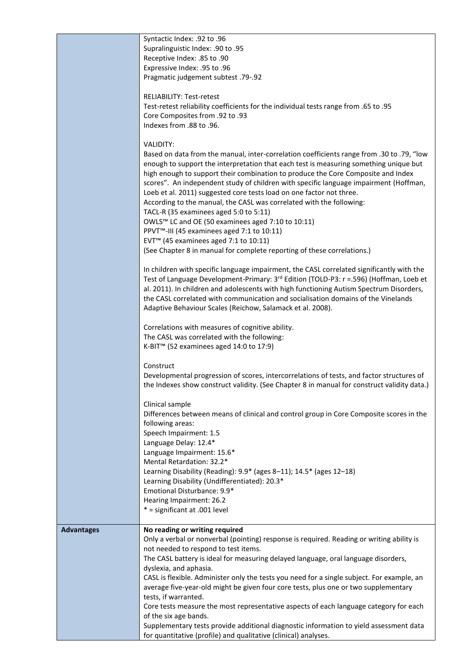|                   | Syntactic Index: .92 to .96                                                                 |
|-------------------|---------------------------------------------------------------------------------------------|
|                   | Supralinguistic Index: .90 to .95                                                           |
|                   | Receptive Index: .85 to .90                                                                 |
|                   | Expressive Index: .95 to .96                                                                |
|                   | Pragmatic judgement subtest .79-.92                                                         |
|                   |                                                                                             |
|                   | <b>RELIABILITY: Test-retest</b>                                                             |
|                   | Test-retest reliability coefficients for the individual tests range from .65 to .95         |
|                   | Oore Composites from .92 to .93                                                             |
|                   | Indexes from .88 to .96.                                                                    |
|                   |                                                                                             |
|                   | VALIDITY:                                                                                   |
|                   | Based on data from the manual, inter-correlation coefficients range from .30 to .79, "low   |
|                   | enough to support the interpretation that each test is measuring something unique but       |
|                   | high enough to support their combination to produce the Core Composite and Index            |
|                   | scores". An independent study of children with specific language impairment (Hoffman,       |
|                   |                                                                                             |
|                   | Loeb et al. 2011) suggested core tests load on one factor not three.                        |
|                   | According to the manual, the CASL was correlated with the following:                        |
|                   | TACL-R (35 examinees aged 5:0 to 5:11)                                                      |
|                   | OWLS™ LC and OE (50 examinees aged 7:10 to 10:11)                                           |
|                   | PPVT <sup>™</sup> -III (45 examinees aged 7:1 to 10:11)                                     |
|                   | EVT <sup>™</sup> (45 examinees aged 7:1 to 10:11)                                           |
|                   | (See Chapter 8 in manual for complete reporting of these correlations.)                     |
|                   |                                                                                             |
|                   | In children with specific language impairment, the CASL correlated significantly with the   |
|                   | Test of Language Development-Primary: 3rd Edition (TOLD-P3: r =.596) (Hoffman, Loeb et      |
|                   | al. 2011). In children and adolescents with high functioning Autism Spectrum Disorders,     |
|                   | the CASL correlated with communication and socialisation domains of the Vinelands           |
|                   | Adaptive Behaviour Scales (Reichow, Salamack et al. 2008).                                  |
|                   |                                                                                             |
|                   | Correlations with measures of cognitive ability.                                            |
|                   | The CASL was correlated with the following:                                                 |
|                   | K-BIT <sup>™</sup> (52 examinees aged 14:0 to 17:9)                                         |
|                   |                                                                                             |
|                   | Construct                                                                                   |
|                   | Developmental progression of scores, intercorrelations of tests, and factor structures of   |
|                   | the Indexes show construct validity. (See Chapter 8 in manual for construct validity data.) |
|                   |                                                                                             |
|                   | Clinical sample                                                                             |
|                   | Differences between means of clinical and control group in Core Composite scores in the     |
|                   | following areas:                                                                            |
|                   | Speech Impairment: 1.5                                                                      |
|                   | Language Delay: 12.4*                                                                       |
|                   | Language Impairment: 15.6*                                                                  |
|                   | Mental Retardation: 32.2*                                                                   |
|                   | Learning Disability (Reading): 9.9* (ages 8-11); 14.5* (ages 12-18)                         |
|                   | Learning Disability (Undifferentiated): 20.3*                                               |
|                   | Emotional Disturbance: 9.9*                                                                 |
|                   | Hearing Impairment: 26.2                                                                    |
|                   | * = significant at .001 level                                                               |
|                   |                                                                                             |
| <b>Advantages</b> | No reading or writing required                                                              |
|                   | Only a verbal or nonverbal (pointing) response is required. Reading or writing ability is   |
|                   | not needed to respond to test items.                                                        |
|                   | The CASL battery is ideal for measuring delayed language, oral language disorders,          |
|                   | dyslexia, and aphasia.                                                                      |
|                   | CASL is flexible. Administer only the tests you need for a single subject. For example, an  |
|                   | average five-year-old might be given four core tests, plus one or two supplementary         |
|                   | tests, if warranted.                                                                        |
|                   | Core tests measure the most representative aspects of each language category for each       |
|                   | of the six age bands.                                                                       |
|                   | Supplementary tests provide additional diagnostic information to yield assessment data      |
|                   | for quantitative (profile) and qualitative (clinical) analyses.                             |